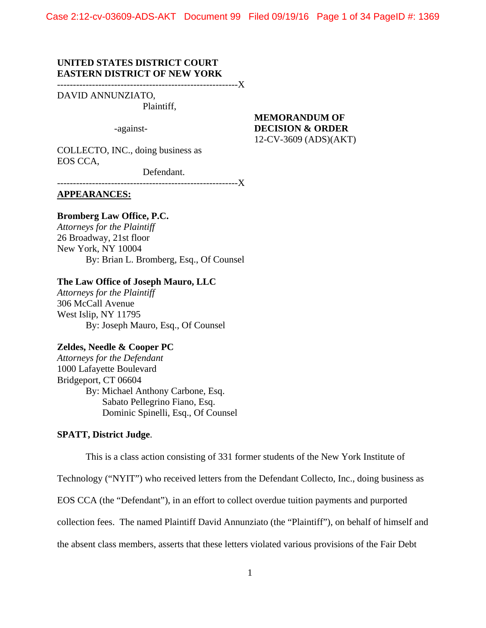Case 2:12-cv-03609-ADS-AKT Document 99 Filed 09/19/16 Page 1 of 34 PageID #: 1369

# **UNITED STATES DISTRICT COURT EASTERN DISTRICT OF NEW YORK**

---------------------------------------------------------X

DAVID ANNUNZIATO,

Plaintiff,

-against-

# **MEMORANDUM OF DECISION & ORDER**  12-CV-3609 (ADS)(AKT)

COLLECTO, INC., doing business as EOS CCA,

Defendant.

---------------------------------------------------------X

**APPEARANCES:** 

# **Bromberg Law Office, P.C.**

*Attorneys for the Plaintiff*  26 Broadway, 21st floor New York, NY 10004 By: Brian L. Bromberg, Esq., Of Counsel

#### **The Law Office of Joseph Mauro, LLC**

*Attorneys for the Plaintiff* 306 McCall Avenue West Islip, NY 11795 By: Joseph Mauro, Esq., Of Counsel

# **Zeldes, Needle & Cooper PC**

*Attorneys for the Defendant* 1000 Lafayette Boulevard Bridgeport, CT 06604 By: Michael Anthony Carbone, Esq. Sabato Pellegrino Fiano, Esq. Dominic Spinelli, Esq., Of Counsel

## **SPATT, District Judge**.

This is a class action consisting of 331 former students of the New York Institute of

Technology ("NYIT") who received letters from the Defendant Collecto, Inc., doing business as

EOS CCA (the "Defendant"), in an effort to collect overdue tuition payments and purported

collection fees. The named Plaintiff David Annunziato (the "Plaintiff"), on behalf of himself and

the absent class members, asserts that these letters violated various provisions of the Fair Debt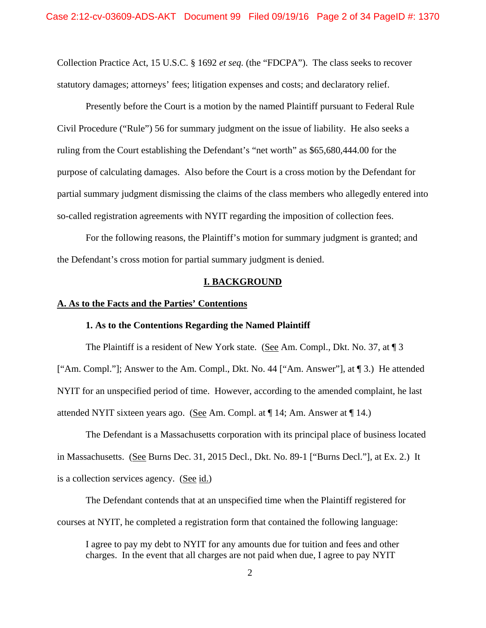Collection Practice Act, 15 U.S.C. § 1692 *et seq.* (the "FDCPA"). The class seeks to recover statutory damages; attorneys' fees; litigation expenses and costs; and declaratory relief.

 Presently before the Court is a motion by the named Plaintiff pursuant to Federal Rule Civil Procedure ("Rule") 56 for summary judgment on the issue of liability. He also seeks a ruling from the Court establishing the Defendant's "net worth" as \$65,680,444.00 for the purpose of calculating damages. Also before the Court is a cross motion by the Defendant for partial summary judgment dismissing the claims of the class members who allegedly entered into so-called registration agreements with NYIT regarding the imposition of collection fees.

 For the following reasons, the Plaintiff's motion for summary judgment is granted; and the Defendant's cross motion for partial summary judgment is denied.

### **I. BACKGROUND**

### **A. As to the Facts and the Parties' Contentions**

### **1. As to the Contentions Regarding the Named Plaintiff**

The Plaintiff is a resident of New York state. (See Am. Compl., Dkt. No. 37, at 13) ["Am. Compl."]; Answer to the Am. Compl., Dkt. No. 44 ["Am. Answer"], at ¶ 3.) He attended NYIT for an unspecified period of time. However, according to the amended complaint, he last attended NYIT sixteen years ago. (See Am. Compl. at ¶ 14; Am. Answer at ¶ 14.)

 The Defendant is a Massachusetts corporation with its principal place of business located in Massachusetts. (See Burns Dec. 31, 2015 Decl., Dkt. No. 89-1 ["Burns Decl."], at Ex. 2.) It is a collection services agency. (See id.)

 The Defendant contends that at an unspecified time when the Plaintiff registered for courses at NYIT, he completed a registration form that contained the following language:

I agree to pay my debt to NYIT for any amounts due for tuition and fees and other charges. In the event that all charges are not paid when due, I agree to pay NYIT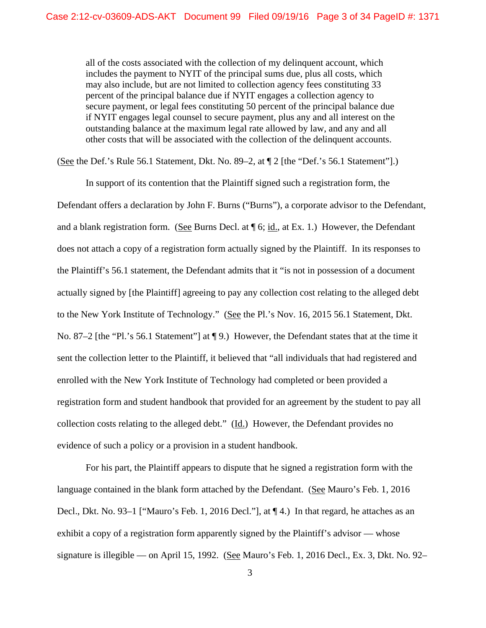all of the costs associated with the collection of my delinquent account, which includes the payment to NYIT of the principal sums due, plus all costs, which may also include, but are not limited to collection agency fees constituting 33 percent of the principal balance due if NYIT engages a collection agency to secure payment, or legal fees constituting 50 percent of the principal balance due if NYIT engages legal counsel to secure payment, plus any and all interest on the outstanding balance at the maximum legal rate allowed by law, and any and all other costs that will be associated with the collection of the delinquent accounts.

(See the Def.'s Rule 56.1 Statement, Dkt. No. 89–2, at ¶ 2 [the "Def.'s 56.1 Statement"].)

In support of its contention that the Plaintiff signed such a registration form, the Defendant offers a declaration by John F. Burns ("Burns"), a corporate advisor to the Defendant, and a blank registration form. (See Burns Decl. at ¶ 6; id., at Ex. 1.) However, the Defendant does not attach a copy of a registration form actually signed by the Plaintiff. In its responses to the Plaintiff's 56.1 statement, the Defendant admits that it "is not in possession of a document actually signed by [the Plaintiff] agreeing to pay any collection cost relating to the alleged debt to the New York Institute of Technology." (See the Pl.'s Nov. 16, 2015 56.1 Statement, Dkt. No. 87–2 [the "Pl.'s 56.1 Statement"] at ¶ 9.) However, the Defendant states that at the time it sent the collection letter to the Plaintiff, it believed that "all individuals that had registered and enrolled with the New York Institute of Technology had completed or been provided a registration form and student handbook that provided for an agreement by the student to pay all collection costs relating to the alleged debt." (Id.) However, the Defendant provides no evidence of such a policy or a provision in a student handbook.

 For his part, the Plaintiff appears to dispute that he signed a registration form with the language contained in the blank form attached by the Defendant. (See Mauro's Feb. 1, 2016 Decl., Dkt. No. 93-1 ["Mauro's Feb. 1, 2016 Decl."], at  $\P$  4.) In that regard, he attaches as an exhibit a copy of a registration form apparently signed by the Plaintiff's advisor — whose signature is illegible — on April 15, 1992. (See Mauro's Feb. 1, 2016 Decl., Ex. 3, Dkt. No. 92–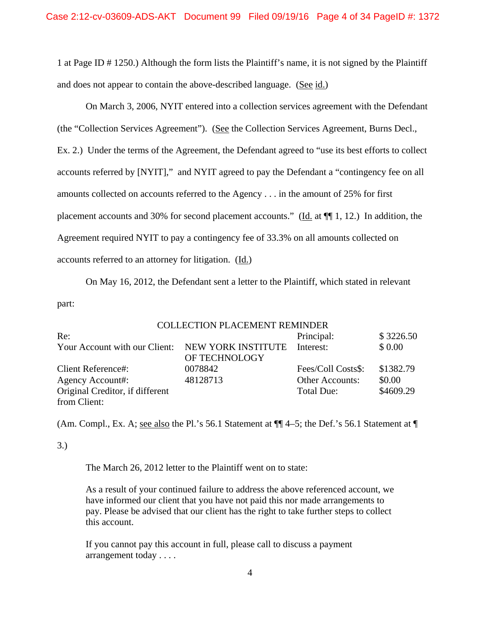1 at Page ID # 1250.) Although the form lists the Plaintiff's name, it is not signed by the Plaintiff and does not appear to contain the above-described language. (See id.)

 On March 3, 2006, NYIT entered into a collection services agreement with the Defendant (the "Collection Services Agreement"). (See the Collection Services Agreement, Burns Decl., Ex. 2.) Under the terms of the Agreement, the Defendant agreed to "use its best efforts to collect accounts referred by [NYIT]," and NYIT agreed to pay the Defendant a "contingency fee on all amounts collected on accounts referred to the Agency . . . in the amount of 25% for first placement accounts and 30% for second placement accounts." (Id. at ¶¶ 1, 12.) In addition, the Agreement required NYIT to pay a contingency fee of 33.3% on all amounts collected on accounts referred to an attorney for litigation. (Id.)

 On May 16, 2012, the Defendant sent a letter to the Plaintiff, which stated in relevant part:

|                                                  | <b>COLLECTION PLACEMENT REMINDER</b> |                    |           |
|--------------------------------------------------|--------------------------------------|--------------------|-----------|
| Re:                                              |                                      | Principal:         | \$3226.50 |
| Your Account with our Client: NEW YORK INSTITUTE | OF TECHNOLOGY                        | Interest:          | \$0.00    |
| <b>Client Reference#:</b>                        | 0078842                              | Fees/Coll Costs\$: | \$1382.79 |
| Agency Account#:                                 | 48128713                             | Other Accounts:    | \$0.00    |
| Original Creditor, if different                  |                                      | Total Due:         | \$4609.29 |
| from Client:                                     |                                      |                    |           |

(Am. Compl., Ex. A; see also the Pl.'s 56.1 Statement at ¶¶ 4–5; the Def.'s 56.1 Statement at ¶

# 3.)

The March 26, 2012 letter to the Plaintiff went on to state:

As a result of your continued failure to address the above referenced account, we have informed our client that you have not paid this nor made arrangements to pay. Please be advised that our client has the right to take further steps to collect this account.

If you cannot pay this account in full, please call to discuss a payment arrangement today . . . .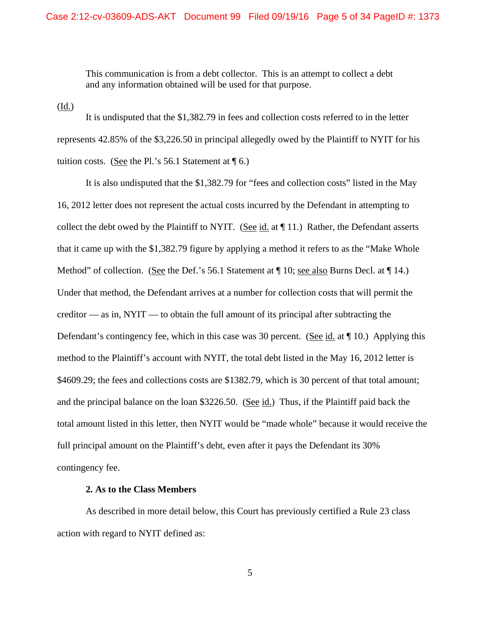This communication is from a debt collector. This is an attempt to collect a debt and any information obtained will be used for that purpose.

(Id.)

 It is undisputed that the \$1,382.79 in fees and collection costs referred to in the letter represents 42.85% of the \$3,226.50 in principal allegedly owed by the Plaintiff to NYIT for his tuition costs. (See the Pl.'s 56.1 Statement at  $\P$  6.)

It is also undisputed that the \$1,382.79 for "fees and collection costs" listed in the May 16, 2012 letter does not represent the actual costs incurred by the Defendant in attempting to collect the debt owed by the Plaintiff to NYIT. (See id. at ¶ 11.) Rather, the Defendant asserts that it came up with the \$1,382.79 figure by applying a method it refers to as the "Make Whole Method" of collection. (See the Def.'s 56.1 Statement at  $\P$  10; see also Burns Decl. at  $\P$  14.) Under that method, the Defendant arrives at a number for collection costs that will permit the creditor — as in,  $\text{NYIT}$  — to obtain the full amount of its principal after subtracting the Defendant's contingency fee, which in this case was 30 percent. (See id. at  $\P$  10.) Applying this method to the Plaintiff's account with NYIT, the total debt listed in the May 16, 2012 letter is \$4609.29; the fees and collections costs are \$1382.79, which is 30 percent of that total amount; and the principal balance on the loan \$3226.50. (See id.) Thus, if the Plaintiff paid back the total amount listed in this letter, then NYIT would be "made whole" because it would receive the full principal amount on the Plaintiff's debt, even after it pays the Defendant its 30% contingency fee.

## **2. As to the Class Members**

 As described in more detail below, this Court has previously certified a Rule 23 class action with regard to NYIT defined as: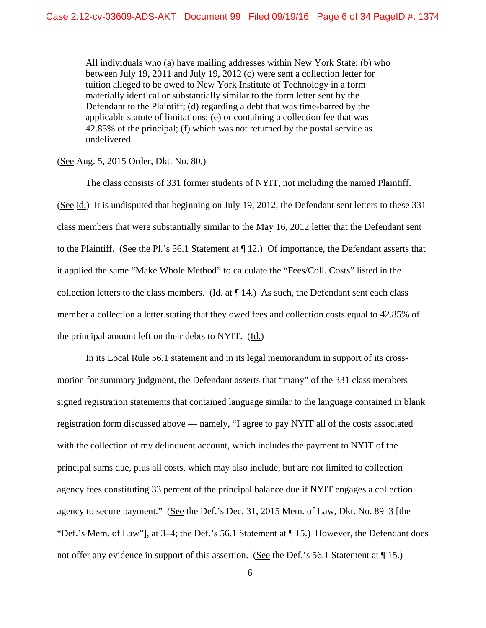All individuals who (a) have mailing addresses within New York State; (b) who between July 19, 2011 and July 19, 2012 (c) were sent a collection letter for tuition alleged to be owed to New York Institute of Technology in a form materially identical or substantially similar to the form letter sent by the Defendant to the Plaintiff; (d) regarding a debt that was time-barred by the applicable statute of limitations; (e) or containing a collection fee that was 42.85% of the principal; (f) which was not returned by the postal service as undelivered.

(See Aug. 5, 2015 Order, Dkt. No. 80.)

 The class consists of 331 former students of NYIT, not including the named Plaintiff. (See id.) It is undisputed that beginning on July 19, 2012, the Defendant sent letters to these 331 class members that were substantially similar to the May 16, 2012 letter that the Defendant sent to the Plaintiff. (See the Pl.'s 56.1 Statement at ¶ 12.) Of importance, the Defendant asserts that it applied the same "Make Whole Method" to calculate the "Fees/Coll. Costs" listed in the collection letters to the class members. (Id. at  $\P$  14.) As such, the Defendant sent each class member a collection a letter stating that they owed fees and collection costs equal to 42.85% of the principal amount left on their debts to NYIT. (Id.)

 In its Local Rule 56.1 statement and in its legal memorandum in support of its crossmotion for summary judgment, the Defendant asserts that "many" of the 331 class members signed registration statements that contained language similar to the language contained in blank registration form discussed above — namely, "I agree to pay NYIT all of the costs associated with the collection of my delinquent account, which includes the payment to NYIT of the principal sums due, plus all costs, which may also include, but are not limited to collection agency fees constituting 33 percent of the principal balance due if NYIT engages a collection agency to secure payment." (See the Def.'s Dec. 31, 2015 Mem. of Law, Dkt. No. 89–3 [the "Def.'s Mem. of Law"], at 3–4; the Def.'s 56.1 Statement at ¶ 15.) However, the Defendant does not offer any evidence in support of this assertion. (See the Def.'s 56.1 Statement at  $\P$  15.)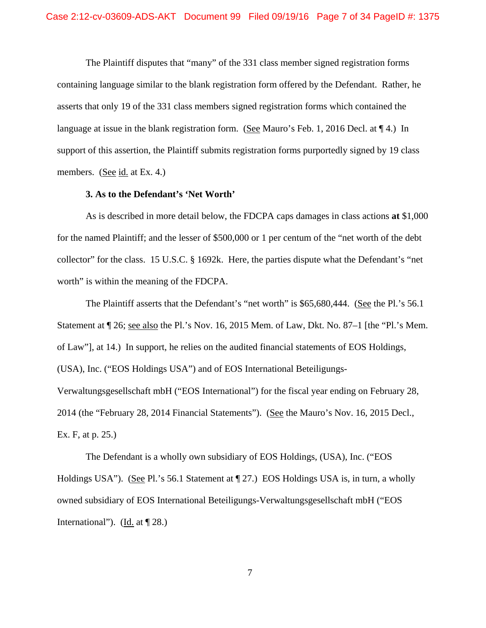The Plaintiff disputes that "many" of the 331 class member signed registration forms containing language similar to the blank registration form offered by the Defendant. Rather, he asserts that only 19 of the 331 class members signed registration forms which contained the language at issue in the blank registration form. (See Mauro's Feb. 1, 2016 Decl. at  $\P$  4.) In support of this assertion, the Plaintiff submits registration forms purportedly signed by 19 class members. (See id. at Ex. 4.)

## **3. As to the Defendant's 'Net Worth'**

As is described in more detail below, the FDCPA caps damages in class actions **at** \$1,000 for the named Plaintiff; and the lesser of \$500,000 or 1 per centum of the "net worth of the debt collector" for the class. 15 U.S.C. § 1692k. Here, the parties dispute what the Defendant's "net worth" is within the meaning of the FDCPA.

The Plaintiff asserts that the Defendant's "net worth" is \$65,680,444. (See the Pl.'s 56.1 Statement at ¶ 26; see also the Pl.'s Nov. 16, 2015 Mem. of Law, Dkt. No. 87–1 [the "Pl.'s Mem. of Law"], at 14.) In support, he relies on the audited financial statements of EOS Holdings, (USA), Inc. ("EOS Holdings USA") and of EOS International Beteiligungs-Verwaltungsgesellschaft mbH ("EOS International") for the fiscal year ending on February 28, 2014 (the "February 28, 2014 Financial Statements"). (See the Mauro's Nov. 16, 2015 Decl., Ex. F, at p. 25.)

The Defendant is a wholly own subsidiary of EOS Holdings, (USA), Inc. ("EOS Holdings USA"). (See Pl.'s 56.1 Statement at  $\P$  27.) EOS Holdings USA is, in turn, a wholly owned subsidiary of EOS International Beteiligungs-Verwaltungsgesellschaft mbH ("EOS International"). (Id. at  $\P$  28.)

7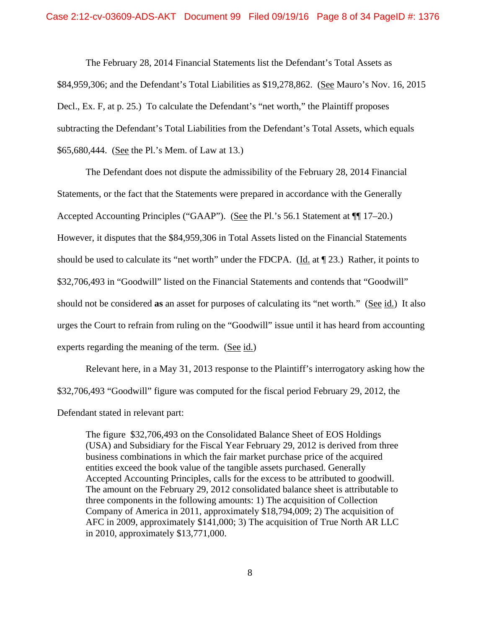The February 28, 2014 Financial Statements list the Defendant's Total Assets as \$84,959,306; and the Defendant's Total Liabilities as \$19,278,862. (See Mauro's Nov. 16, 2015 Decl., Ex. F, at p. 25.) To calculate the Defendant's "net worth," the Plaintiff proposes subtracting the Defendant's Total Liabilities from the Defendant's Total Assets, which equals \$65,680,444. (See the Pl.'s Mem. of Law at 13.)

 The Defendant does not dispute the admissibility of the February 28, 2014 Financial Statements, or the fact that the Statements were prepared in accordance with the Generally Accepted Accounting Principles ("GAAP"). (See the Pl.'s 56.1 Statement at ¶¶ 17–20.) However, it disputes that the \$84,959,306 in Total Assets listed on the Financial Statements should be used to calculate its "net worth" under the FDCPA. (Id. at  $\P$  23.) Rather, it points to \$32,706,493 in "Goodwill" listed on the Financial Statements and contends that "Goodwill" should not be considered **as** an asset for purposes of calculating its "net worth." (See id.) It also urges the Court to refrain from ruling on the "Goodwill" issue until it has heard from accounting experts regarding the meaning of the term.  $(See id.)$ 

 Relevant here, in a May 31, 2013 response to the Plaintiff's interrogatory asking how the \$32,706,493 "Goodwill" figure was computed for the fiscal period February 29, 2012, the Defendant stated in relevant part:

The figure \$32,706,493 on the Consolidated Balance Sheet of EOS Holdings (USA) and Subsidiary for the Fiscal Year February 29, 2012 is derived from three business combinations in which the fair market purchase price of the acquired entities exceed the book value of the tangible assets purchased. Generally Accepted Accounting Principles, calls for the excess to be attributed to goodwill. The amount on the February 29, 2012 consolidated balance sheet is attributable to three components in the following amounts: 1) The acquisition of Collection Company of America in 2011, approximately \$18,794,009; 2) The acquisition of AFC in 2009, approximately \$141,000; 3) The acquisition of True North AR LLC in 2010, approximately \$13,771,000.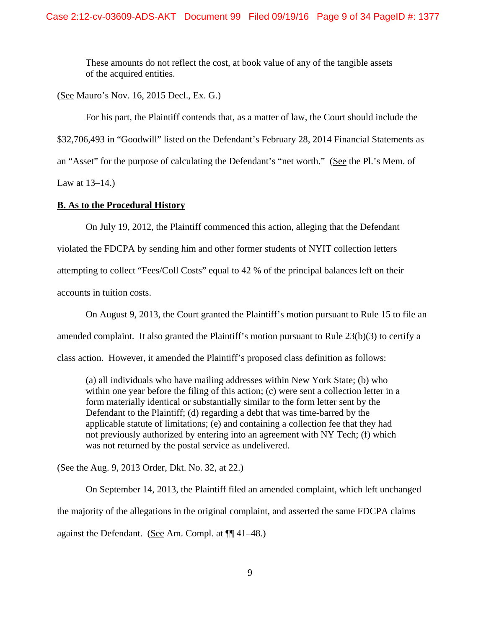These amounts do not reflect the cost, at book value of any of the tangible assets of the acquired entities.

(See Mauro's Nov. 16, 2015 Decl., Ex. G.)

 For his part, the Plaintiff contends that, as a matter of law, the Court should include the \$32,706,493 in "Goodwill" listed on the Defendant's February 28, 2014 Financial Statements as an "Asset" for the purpose of calculating the Defendant's "net worth." (See the Pl.'s Mem. of Law at 13–14.)

# **B. As to the Procedural History**

 On July 19, 2012, the Plaintiff commenced this action, alleging that the Defendant violated the FDCPA by sending him and other former students of NYIT collection letters attempting to collect "Fees/Coll Costs" equal to 42 % of the principal balances left on their accounts in tuition costs.

 On August 9, 2013, the Court granted the Plaintiff's motion pursuant to Rule 15 to file an amended complaint. It also granted the Plaintiff's motion pursuant to Rule 23(b)(3) to certify a class action. However, it amended the Plaintiff's proposed class definition as follows:

(a) all individuals who have mailing addresses within New York State; (b) who within one year before the filing of this action; (c) were sent a collection letter in a form materially identical or substantially similar to the form letter sent by the Defendant to the Plaintiff; (d) regarding a debt that was time-barred by the applicable statute of limitations; (e) and containing a collection fee that they had not previously authorized by entering into an agreement with NY Tech; (f) which was not returned by the postal service as undelivered.

(See the Aug. 9, 2013 Order, Dkt. No. 32, at 22.)

 On September 14, 2013, the Plaintiff filed an amended complaint, which left unchanged the majority of the allegations in the original complaint, and asserted the same FDCPA claims against the Defendant. (See Am. Compl. at ¶¶ 41–48.)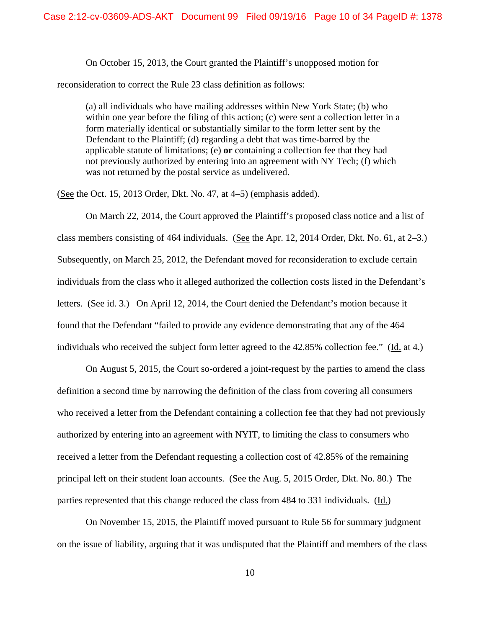On October 15, 2013, the Court granted the Plaintiff's unopposed motion for

reconsideration to correct the Rule 23 class definition as follows:

(a) all individuals who have mailing addresses within New York State; (b) who within one year before the filing of this action; (c) were sent a collection letter in a form materially identical or substantially similar to the form letter sent by the Defendant to the Plaintiff; (d) regarding a debt that was time-barred by the applicable statute of limitations; (e) **or** containing a collection fee that they had not previously authorized by entering into an agreement with NY Tech; (f) which was not returned by the postal service as undelivered.

(See the Oct. 15, 2013 Order, Dkt. No. 47, at 4–5) (emphasis added).

 On March 22, 2014, the Court approved the Plaintiff's proposed class notice and a list of class members consisting of 464 individuals. (See the Apr. 12, 2014 Order, Dkt. No. 61, at 2–3.) Subsequently, on March 25, 2012, the Defendant moved for reconsideration to exclude certain individuals from the class who it alleged authorized the collection costs listed in the Defendant's letters. (See id. 3.) On April 12, 2014, the Court denied the Defendant's motion because it found that the Defendant "failed to provide any evidence demonstrating that any of the 464 individuals who received the subject form letter agreed to the  $42.85\%$  collection fee." (Id. at 4.)

 On August 5, 2015, the Court so-ordered a joint-request by the parties to amend the class definition a second time by narrowing the definition of the class from covering all consumers who received a letter from the Defendant containing a collection fee that they had not previously authorized by entering into an agreement with NYIT, to limiting the class to consumers who received a letter from the Defendant requesting a collection cost of 42.85% of the remaining principal left on their student loan accounts. (See the Aug. 5, 2015 Order, Dkt. No. 80.) The parties represented that this change reduced the class from 484 to 331 individuals. (Id.)

 On November 15, 2015, the Plaintiff moved pursuant to Rule 56 for summary judgment on the issue of liability, arguing that it was undisputed that the Plaintiff and members of the class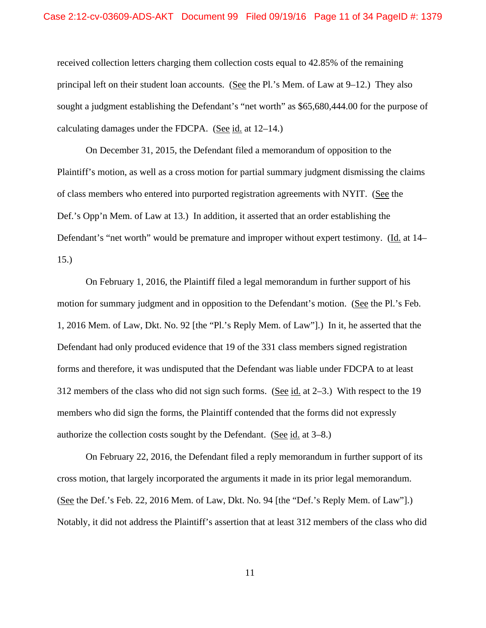received collection letters charging them collection costs equal to 42.85% of the remaining principal left on their student loan accounts. (See the Pl.'s Mem. of Law at 9–12.) They also sought a judgment establishing the Defendant's "net worth" as \$65,680,444.00 for the purpose of calculating damages under the FDCPA. (See id. at 12–14.)

 On December 31, 2015, the Defendant filed a memorandum of opposition to the Plaintiff's motion, as well as a cross motion for partial summary judgment dismissing the claims of class members who entered into purported registration agreements with NYIT. (See the Def.'s Opp'n Mem. of Law at 13.) In addition, it asserted that an order establishing the Defendant's "net worth" would be premature and improper without expert testimony. (Id. at 14– 15.)

 On February 1, 2016, the Plaintiff filed a legal memorandum in further support of his motion for summary judgment and in opposition to the Defendant's motion. (See the Pl.'s Feb. 1, 2016 Mem. of Law, Dkt. No. 92 [the "Pl.'s Reply Mem. of Law"].) In it, he asserted that the Defendant had only produced evidence that 19 of the 331 class members signed registration forms and therefore, it was undisputed that the Defendant was liable under FDCPA to at least 312 members of the class who did not sign such forms. (See id. at 2–3.) With respect to the 19 members who did sign the forms, the Plaintiff contended that the forms did not expressly authorize the collection costs sought by the Defendant. (See id. at 3–8.)

 On February 22, 2016, the Defendant filed a reply memorandum in further support of its cross motion, that largely incorporated the arguments it made in its prior legal memorandum. (See the Def.'s Feb. 22, 2016 Mem. of Law, Dkt. No. 94 [the "Def.'s Reply Mem. of Law"].) Notably, it did not address the Plaintiff's assertion that at least 312 members of the class who did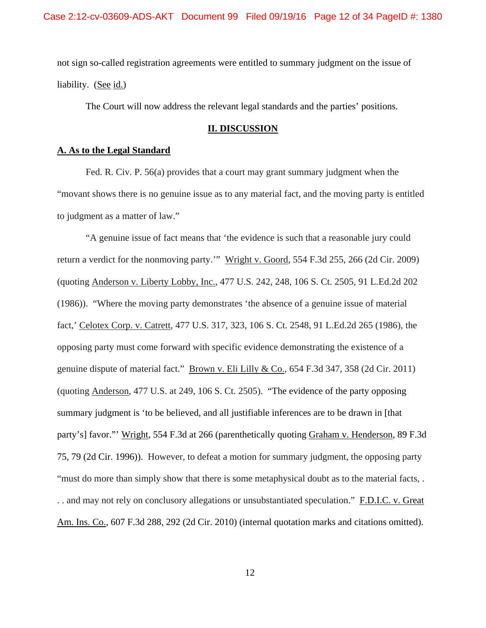not sign so-called registration agreements were entitled to summary judgment on the issue of liability. (See id.)

The Court will now address the relevant legal standards and the parties' positions.

# **II. DISCUSSION**

## **A. As to the Legal Standard**

Fed. R. Civ. P. 56(a) provides that a court may grant summary judgment when the "movant shows there is no genuine issue as to any material fact, and the moving party is entitled to judgment as a matter of law."

"A genuine issue of fact means that 'the evidence is such that a reasonable jury could return a verdict for the nonmoving party." Wright v. Goord, 554 F.3d 255, 266 (2d Cir. 2009) (quoting Anderson v. Liberty Lobby, Inc., 477 U.S. 242, 248, 106 S. Ct. 2505, 91 L.Ed.2d 202 (1986)). "Where the moving party demonstrates 'the absence of a genuine issue of material fact,' Celotex Corp. v. Catrett, 477 U.S. 317, 323, 106 S. Ct. 2548, 91 L.Ed.2d 265 (1986), the opposing party must come forward with specific evidence demonstrating the existence of a genuine dispute of material fact." Brown v. Eli Lilly & Co., 654 F.3d 347, 358 (2d Cir. 2011) (quoting Anderson, 477 U.S. at 249, 106 S. Ct. 2505). "The evidence of the party opposing summary judgment is 'to be believed, and all justifiable inferences are to be drawn in [that party's] favor."' Wright, 554 F.3d at 266 (parenthetically quoting Graham v. Henderson, 89 F.3d 75, 79 (2d Cir. 1996)). However, to defeat a motion for summary judgment, the opposing party "must do more than simply show that there is some metaphysical doubt as to the material facts, . . . and may not rely on conclusory allegations or unsubstantiated speculation." F.D.I.C. v. Great Am. Ins. Co., 607 F.3d 288, 292 (2d Cir. 2010) (internal quotation marks and citations omitted).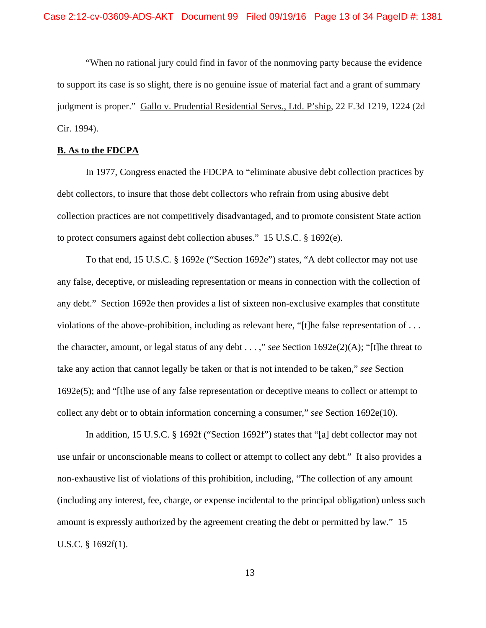"When no rational jury could find in favor of the nonmoving party because the evidence to support its case is so slight, there is no genuine issue of material fact and a grant of summary judgment is proper." Gallo v. Prudential Residential Servs., Ltd. P'ship, 22 F.3d 1219, 1224 (2d Cir. 1994).

#### **B. As to the FDCPA**

 In 1977, Congress enacted the FDCPA to "eliminate abusive debt collection practices by debt collectors, to insure that those debt collectors who refrain from using abusive debt collection practices are not competitively disadvantaged, and to promote consistent State action to protect consumers against debt collection abuses." 15 U.S.C. § 1692(e).

 To that end, 15 U.S.C. § 1692e ("Section 1692e") states, "A debt collector may not use any false, deceptive, or misleading representation or means in connection with the collection of any debt." Section 1692e then provides a list of sixteen non-exclusive examples that constitute violations of the above-prohibition, including as relevant here, "[t]he false representation of . . . the character, amount, or legal status of any debt . . . ," *see* Section 1692e(2)(A); "[t]he threat to take any action that cannot legally be taken or that is not intended to be taken," *see* Section 1692e(5); and "[t]he use of any false representation or deceptive means to collect or attempt to collect any debt or to obtain information concerning a consumer," *see* Section 1692e(10).

 In addition, 15 U.S.C. § 1692f ("Section 1692f") states that "[a] debt collector may not use unfair or unconscionable means to collect or attempt to collect any debt." It also provides a non-exhaustive list of violations of this prohibition, including, "The collection of any amount (including any interest, fee, charge, or expense incidental to the principal obligation) unless such amount is expressly authorized by the agreement creating the debt or permitted by law." 15 U.S.C. § 1692f(1).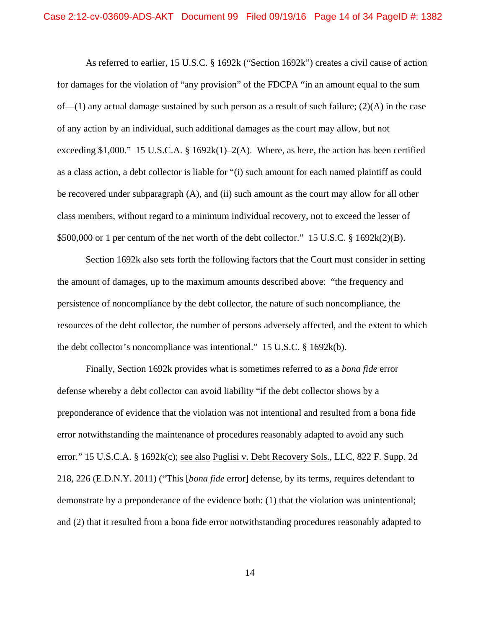As referred to earlier, 15 U.S.C. § 1692k ("Section 1692k") creates a civil cause of action for damages for the violation of "any provision" of the FDCPA "in an amount equal to the sum of—(1) any actual damage sustained by such person as a result of such failure; (2)(A) in the case of any action by an individual, such additional damages as the court may allow, but not exceeding \$1,000." 15 U.S.C.A. § 1692k(1)–2(A). Where, as here, the action has been certified as a class action, a debt collector is liable for "(i) such amount for each named plaintiff as could be recovered under subparagraph (A), and (ii) such amount as the court may allow for all other class members, without regard to a minimum individual recovery, not to exceed the lesser of \$500,000 or 1 per centum of the net worth of the debt collector." 15 U.S.C. § 1692k(2)(B).

Section 1692k also sets forth the following factors that the Court must consider in setting the amount of damages, up to the maximum amounts described above: "the frequency and persistence of noncompliance by the debt collector, the nature of such noncompliance, the resources of the debt collector, the number of persons adversely affected, and the extent to which the debt collector's noncompliance was intentional." 15 U.S.C. § 1692k(b).

Finally, Section 1692k provides what is sometimes referred to as a *bona fide* error defense whereby a debt collector can avoid liability "if the debt collector shows by a preponderance of evidence that the violation was not intentional and resulted from a bona fide error notwithstanding the maintenance of procedures reasonably adapted to avoid any such error." 15 U.S.C.A. § 1692k(c); <u>see also Puglisi v. Debt Recovery Sols.</u>, LLC, 822 F. Supp. 2d 218, 226 (E.D.N.Y. 2011) ("This [*bona fide* error] defense, by its terms, requires defendant to demonstrate by a preponderance of the evidence both: (1) that the violation was unintentional; and (2) that it resulted from a bona fide error notwithstanding procedures reasonably adapted to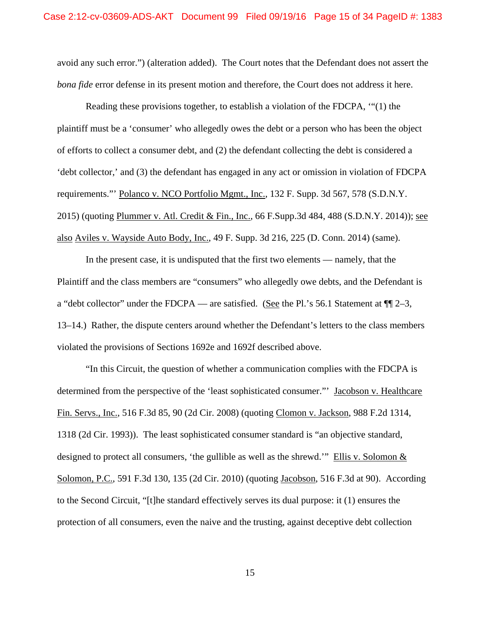avoid any such error.") (alteration added). The Court notes that the Defendant does not assert the *bona fide* error defense in its present motion and therefore, the Court does not address it here.

 Reading these provisions together, to establish a violation of the FDCPA, '"(1) the plaintiff must be a 'consumer' who allegedly owes the debt or a person who has been the object of efforts to collect a consumer debt, and (2) the defendant collecting the debt is considered a 'debt collector,' and (3) the defendant has engaged in any act or omission in violation of FDCPA requirements."' Polanco v. NCO Portfolio Mgmt., Inc., 132 F. Supp. 3d 567, 578 (S.D.N.Y. 2015) (quoting Plummer v. Atl. Credit & Fin., Inc., 66 F.Supp.3d 484, 488 (S.D.N.Y. 2014)); see also Aviles v. Wayside Auto Body, Inc., 49 F. Supp. 3d 216, 225 (D. Conn. 2014) (same).

 In the present case, it is undisputed that the first two elements — namely, that the Plaintiff and the class members are "consumers" who allegedly owe debts, and the Defendant is a "debt collector" under the FDCPA — are satisfied. (See the Pl.'s 56.1 Statement at  $\P$  $[2-3,$ 13–14.) Rather, the dispute centers around whether the Defendant's letters to the class members violated the provisions of Sections 1692e and 1692f described above.

"In this Circuit, the question of whether a communication complies with the FDCPA is determined from the perspective of the 'least sophisticated consumer."' Jacobson v. Healthcare Fin. Servs., Inc., 516 F.3d 85, 90 (2d Cir. 2008) (quoting Clomon v. Jackson, 988 F.2d 1314, 1318 (2d Cir. 1993)). The least sophisticated consumer standard is "an objective standard, designed to protect all consumers, 'the gullible as well as the shrewd.'" Ellis v. Solomon  $&$ Solomon, P.C., 591 F.3d 130, 135 (2d Cir. 2010) (quoting Jacobson, 516 F.3d at 90). According to the Second Circuit, "[t]he standard effectively serves its dual purpose: it (1) ensures the protection of all consumers, even the naive and the trusting, against deceptive debt collection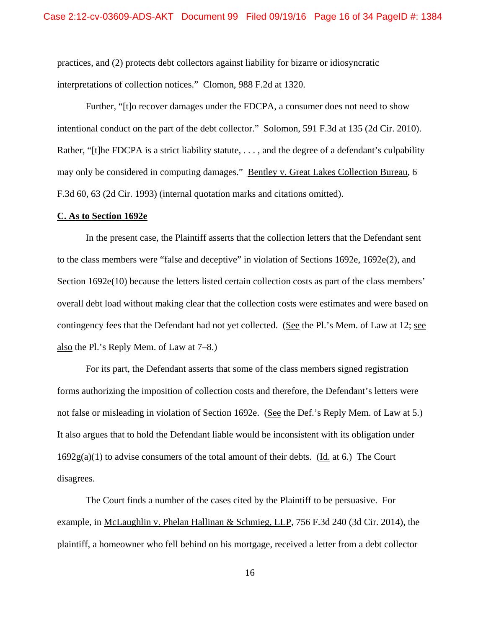practices, and (2) protects debt collectors against liability for bizarre or idiosyncratic interpretations of collection notices." Clomon, 988 F.2d at 1320.

Further, "[t]o recover damages under the FDCPA, a consumer does not need to show intentional conduct on the part of the debt collector." Solomon, 591 F.3d at 135 (2d Cir. 2010). Rather, "[t]he FDCPA is a strict liability statute, ..., and the degree of a defendant's culpability may only be considered in computing damages." Bentley v. Great Lakes Collection Bureau, 6 F.3d 60, 63 (2d Cir. 1993) (internal quotation marks and citations omitted).

#### **C. As to Section 1692e**

 In the present case, the Plaintiff asserts that the collection letters that the Defendant sent to the class members were "false and deceptive" in violation of Sections 1692e, 1692e(2), and Section 1692e(10) because the letters listed certain collection costs as part of the class members' overall debt load without making clear that the collection costs were estimates and were based on contingency fees that the Defendant had not yet collected. (See the Pl.'s Mem. of Law at 12; see also the Pl.'s Reply Mem. of Law at 7–8.)

 For its part, the Defendant asserts that some of the class members signed registration forms authorizing the imposition of collection costs and therefore, the Defendant's letters were not false or misleading in violation of Section 1692e. (See the Def.'s Reply Mem. of Law at 5.) It also argues that to hold the Defendant liable would be inconsistent with its obligation under  $1692g(a)(1)$  to advise consumers of the total amount of their debts. (Id. at 6.) The Court disagrees.

The Court finds a number of the cases cited by the Plaintiff to be persuasive. For example, in McLaughlin v. Phelan Hallinan & Schmieg, LLP, 756 F.3d 240 (3d Cir. 2014), the plaintiff, a homeowner who fell behind on his mortgage, received a letter from a debt collector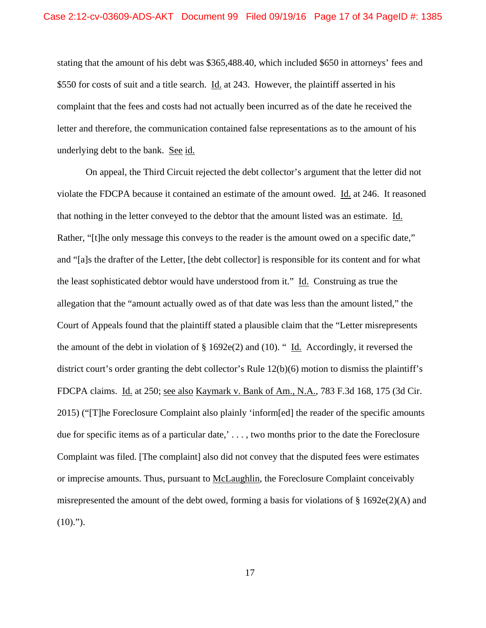stating that the amount of his debt was \$365,488.40, which included \$650 in attorneys' fees and \$550 for costs of suit and a title search. Id. at 243. However, the plaintiff asserted in his complaint that the fees and costs had not actually been incurred as of the date he received the letter and therefore, the communication contained false representations as to the amount of his underlying debt to the bank. See id.

 On appeal, the Third Circuit rejected the debt collector's argument that the letter did not violate the FDCPA because it contained an estimate of the amount owed. Id. at 246. It reasoned that nothing in the letter conveyed to the debtor that the amount listed was an estimate. Id. Rather, "[t]he only message this conveys to the reader is the amount owed on a specific date," and "[a]s the drafter of the Letter, [the debt collector] is responsible for its content and for what the least sophisticated debtor would have understood from it." Id. Construing as true the allegation that the "amount actually owed as of that date was less than the amount listed," the Court of Appeals found that the plaintiff stated a plausible claim that the "Letter misrepresents the amount of the debt in violation of  $\S 1692e(2)$  and (10). " Id. Accordingly, it reversed the district court's order granting the debt collector's Rule 12(b)(6) motion to dismiss the plaintiff's FDCPA claims. Id. at 250; see also Kaymark v. Bank of Am., N.A., 783 F.3d 168, 175 (3d Cir. 2015) ("[T]he Foreclosure Complaint also plainly 'inform[ed] the reader of the specific amounts due for specific items as of a particular date,' . . . , two months prior to the date the Foreclosure Complaint was filed. [The complaint] also did not convey that the disputed fees were estimates or imprecise amounts. Thus, pursuant to McLaughlin, the Foreclosure Complaint conceivably misrepresented the amount of the debt owed, forming a basis for violations of  $\S 1692e(2)$ (A) and  $(10).$ ").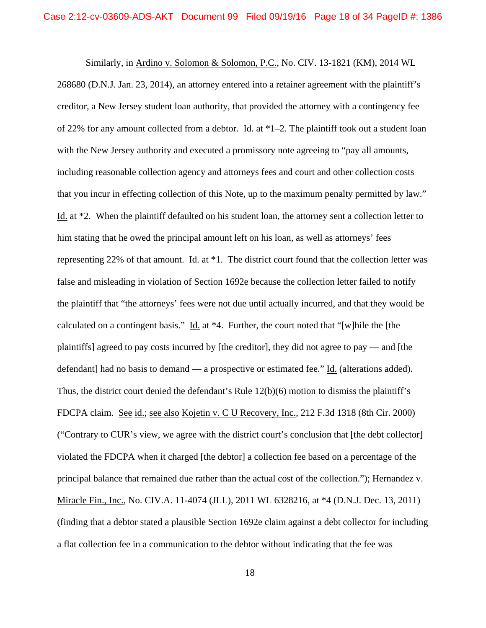Similarly, in Ardino v. Solomon & Solomon, P.C., No. CIV. 13-1821 (KM), 2014 WL 268680 (D.N.J. Jan. 23, 2014), an attorney entered into a retainer agreement with the plaintiff's creditor, a New Jersey student loan authority, that provided the attorney with a contingency fee of 22% for any amount collected from a debtor. Id. at \*1–2. The plaintiff took out a student loan with the New Jersey authority and executed a promissory note agreeing to "pay all amounts, including reasonable collection agency and attorneys fees and court and other collection costs that you incur in effecting collection of this Note, up to the maximum penalty permitted by law." Id. at \*2. When the plaintiff defaulted on his student loan, the attorney sent a collection letter to him stating that he owed the principal amount left on his loan, as well as attorneys' fees representing 22% of that amount. Id. at  $*1$ . The district court found that the collection letter was false and misleading in violation of Section 1692e because the collection letter failed to notify the plaintiff that "the attorneys' fees were not due until actually incurred, and that they would be calculated on a contingent basis." Id. at \*4. Further, the court noted that "[w]hile the [the plaintiffs] agreed to pay costs incurred by [the creditor], they did not agree to pay — and [the defendant] had no basis to demand — a prospective or estimated fee." Id. (alterations added). Thus, the district court denied the defendant's Rule 12(b)(6) motion to dismiss the plaintiff's FDCPA claim. See id.; see also Kojetin v. C U Recovery, Inc., 212 F.3d 1318 (8th Cir. 2000) ("Contrary to CUR's view, we agree with the district court's conclusion that [the debt collector] violated the FDCPA when it charged [the debtor] a collection fee based on a percentage of the principal balance that remained due rather than the actual cost of the collection."); Hernandez v. Miracle Fin., Inc., No. CIV.A. 11-4074 (JLL), 2011 WL 6328216, at \*4 (D.N.J. Dec. 13, 2011) (finding that a debtor stated a plausible Section 1692e claim against a debt collector for including a flat collection fee in a communication to the debtor without indicating that the fee was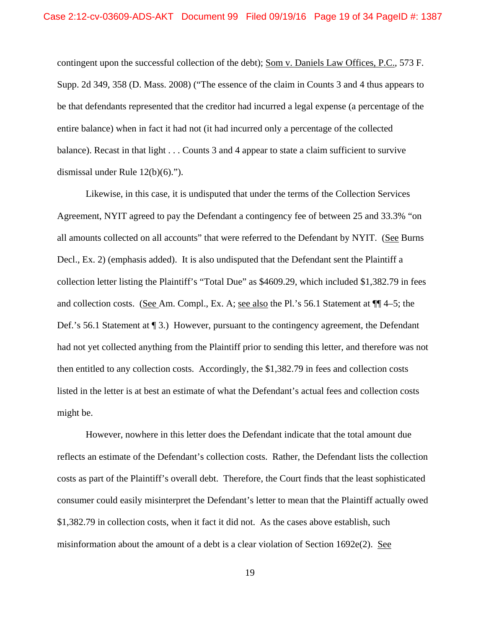contingent upon the successful collection of the debt); Som v. Daniels Law Offices, P.C., 573 F. Supp. 2d 349, 358 (D. Mass. 2008) ("The essence of the claim in Counts 3 and 4 thus appears to be that defendants represented that the creditor had incurred a legal expense (a percentage of the entire balance) when in fact it had not (it had incurred only a percentage of the collected balance). Recast in that light . . . Counts 3 and 4 appear to state a claim sufficient to survive dismissal under Rule 12(b)(6).").

 Likewise, in this case, it is undisputed that under the terms of the Collection Services Agreement, NYIT agreed to pay the Defendant a contingency fee of between 25 and 33.3% "on all amounts collected on all accounts" that were referred to the Defendant by NYIT. (See Burns Decl., Ex. 2) (emphasis added). It is also undisputed that the Defendant sent the Plaintiff a collection letter listing the Plaintiff's "Total Due" as \$4609.29, which included \$1,382.79 in fees and collection costs. (See Am. Compl., Ex. A; see also the Pl.'s 56.1 Statement at ¶¶ 4–5; the Def.'s 56.1 Statement at  $\P$  3.) However, pursuant to the contingency agreement, the Defendant had not yet collected anything from the Plaintiff prior to sending this letter, and therefore was not then entitled to any collection costs. Accordingly, the \$1,382.79 in fees and collection costs listed in the letter is at best an estimate of what the Defendant's actual fees and collection costs might be.

 However, nowhere in this letter does the Defendant indicate that the total amount due reflects an estimate of the Defendant's collection costs. Rather, the Defendant lists the collection costs as part of the Plaintiff's overall debt. Therefore, the Court finds that the least sophisticated consumer could easily misinterpret the Defendant's letter to mean that the Plaintiff actually owed \$1,382.79 in collection costs, when it fact it did not. As the cases above establish, such misinformation about the amount of a debt is a clear violation of Section 1692e(2). See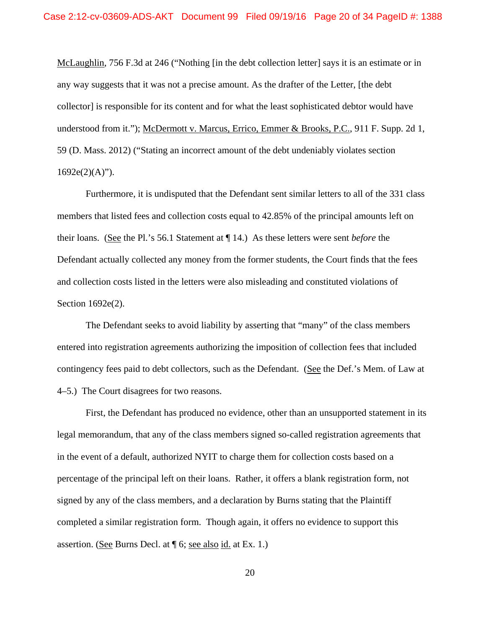McLaughlin, 756 F.3d at 246 ("Nothing [in the debt collection letter] says it is an estimate or in any way suggests that it was not a precise amount. As the drafter of the Letter, [the debt collector] is responsible for its content and for what the least sophisticated debtor would have understood from it."); McDermott v. Marcus, Errico, Emmer & Brooks, P.C., 911 F. Supp. 2d 1, 59 (D. Mass. 2012) ("Stating an incorrect amount of the debt undeniably violates section  $1692e(2)(A)$ ").

 Furthermore, it is undisputed that the Defendant sent similar letters to all of the 331 class members that listed fees and collection costs equal to 42.85% of the principal amounts left on their loans. (See the Pl.'s 56.1 Statement at ¶ 14.) As these letters were sent *before* the Defendant actually collected any money from the former students, the Court finds that the fees and collection costs listed in the letters were also misleading and constituted violations of Section 1692e(2).

 The Defendant seeks to avoid liability by asserting that "many" of the class members entered into registration agreements authorizing the imposition of collection fees that included contingency fees paid to debt collectors, such as the Defendant. (See the Def.'s Mem. of Law at 4–5.) The Court disagrees for two reasons.

 First, the Defendant has produced no evidence, other than an unsupported statement in its legal memorandum, that any of the class members signed so-called registration agreements that in the event of a default, authorized NYIT to charge them for collection costs based on a percentage of the principal left on their loans. Rather, it offers a blank registration form, not signed by any of the class members, and a declaration by Burns stating that the Plaintiff completed a similar registration form. Though again, it offers no evidence to support this assertion. (See Burns Decl. at ¶ 6; see also id. at Ex. 1.)

20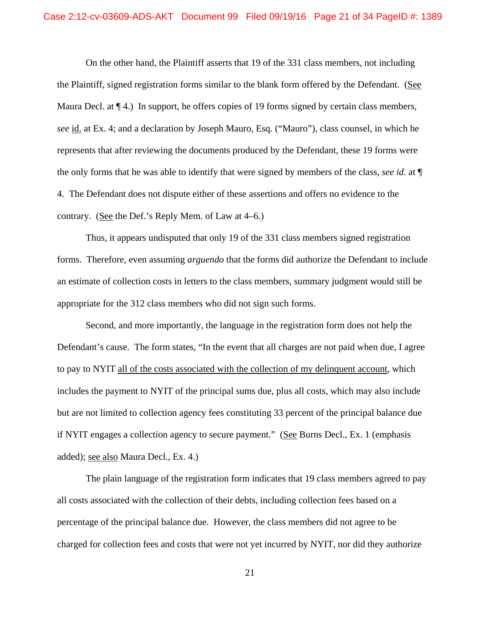On the other hand, the Plaintiff asserts that 19 of the 331 class members, not including the Plaintiff, signed registration forms similar to the blank form offered by the Defendant. (See Maura Decl. at  $\P$  4.) In support, he offers copies of 19 forms signed by certain class members, *see* id. at Ex. 4; and a declaration by Joseph Mauro, Esq. ("Mauro"), class counsel, in which he represents that after reviewing the documents produced by the Defendant, these 19 forms were the only forms that he was able to identify that were signed by members of the class, *see id.* at ¶ 4. The Defendant does not dispute either of these assertions and offers no evidence to the contrary. (See the Def.'s Reply Mem. of Law at 4–6.)

Thus, it appears undisputed that only 19 of the 331 class members signed registration forms. Therefore, even assuming *arguendo* that the forms did authorize the Defendant to include an estimate of collection costs in letters to the class members, summary judgment would still be appropriate for the 312 class members who did not sign such forms.

 Second, and more importantly, the language in the registration form does not help the Defendant's cause. The form states, "In the event that all charges are not paid when due, I agree to pay to NYIT all of the costs associated with the collection of my delinquent account, which includes the payment to NYIT of the principal sums due, plus all costs, which may also include but are not limited to collection agency fees constituting 33 percent of the principal balance due if NYIT engages a collection agency to secure payment." (See Burns Decl., Ex. 1 (emphasis added); see also Maura Decl., Ex. 4.)

 The plain language of the registration form indicates that 19 class members agreed to pay all costs associated with the collection of their debts, including collection fees based on a percentage of the principal balance due. However, the class members did not agree to be charged for collection fees and costs that were not yet incurred by NYIT, nor did they authorize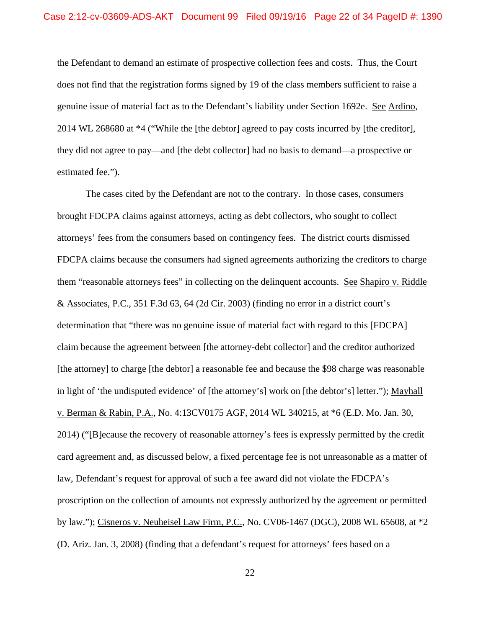the Defendant to demand an estimate of prospective collection fees and costs. Thus, the Court does not find that the registration forms signed by 19 of the class members sufficient to raise a genuine issue of material fact as to the Defendant's liability under Section 1692e. See Ardino, 2014 WL 268680 at \*4 ("While the [the debtor] agreed to pay costs incurred by [the creditor], they did not agree to pay—and [the debt collector] had no basis to demand—a prospective or estimated fee.").

 The cases cited by the Defendant are not to the contrary. In those cases, consumers brought FDCPA claims against attorneys, acting as debt collectors, who sought to collect attorneys' fees from the consumers based on contingency fees. The district courts dismissed FDCPA claims because the consumers had signed agreements authorizing the creditors to charge them "reasonable attorneys fees" in collecting on the delinquent accounts. See Shapiro v. Riddle & Associates, P.C., 351 F.3d 63, 64 (2d Cir. 2003) (finding no error in a district court's determination that "there was no genuine issue of material fact with regard to this [FDCPA] claim because the agreement between [the attorney-debt collector] and the creditor authorized [the attorney] to charge [the debtor] a reasonable fee and because the \$98 charge was reasonable in light of 'the undisputed evidence' of [the attorney's] work on [the debtor's] letter."); Mayhall v. Berman & Rabin, P.A., No. 4:13CV0175 AGF, 2014 WL 340215, at \*6 (E.D. Mo. Jan. 30, 2014) ("[B]ecause the recovery of reasonable attorney's fees is expressly permitted by the credit card agreement and, as discussed below, a fixed percentage fee is not unreasonable as a matter of law, Defendant's request for approval of such a fee award did not violate the FDCPA's proscription on the collection of amounts not expressly authorized by the agreement or permitted by law."); Cisneros v. Neuheisel Law Firm, P.C., No. CV06-1467 (DGC), 2008 WL 65608, at \*2 (D. Ariz. Jan. 3, 2008) (finding that a defendant's request for attorneys' fees based on a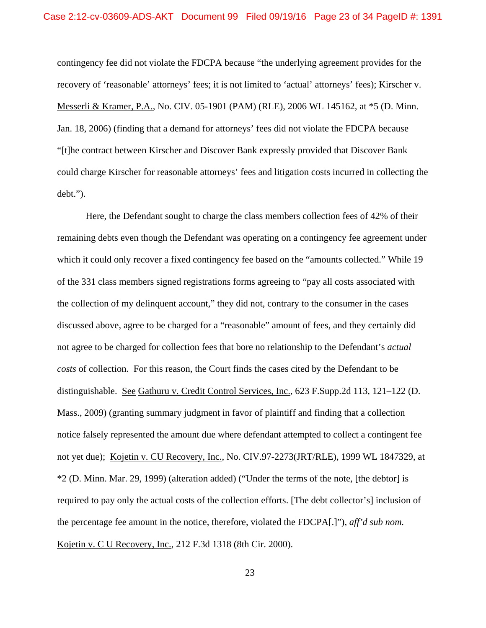contingency fee did not violate the FDCPA because "the underlying agreement provides for the recovery of 'reasonable' attorneys' fees; it is not limited to 'actual' attorneys' fees); Kirscher v. Messerli & Kramer, P.A., No. CIV. 05-1901 (PAM) (RLE), 2006 WL 145162, at \*5 (D. Minn. Jan. 18, 2006) (finding that a demand for attorneys' fees did not violate the FDCPA because "[t]he contract between Kirscher and Discover Bank expressly provided that Discover Bank could charge Kirscher for reasonable attorneys' fees and litigation costs incurred in collecting the debt.").

 Here, the Defendant sought to charge the class members collection fees of 42% of their remaining debts even though the Defendant was operating on a contingency fee agreement under which it could only recover a fixed contingency fee based on the "amounts collected." While 19 of the 331 class members signed registrations forms agreeing to "pay all costs associated with the collection of my delinquent account," they did not, contrary to the consumer in the cases discussed above, agree to be charged for a "reasonable" amount of fees, and they certainly did not agree to be charged for collection fees that bore no relationship to the Defendant's *actual costs* of collection. For this reason, the Court finds the cases cited by the Defendant to be distinguishable. See Gathuru v. Credit Control Services, Inc., 623 F.Supp.2d 113, 121–122 (D. Mass., 2009) (granting summary judgment in favor of plaintiff and finding that a collection notice falsely represented the amount due where defendant attempted to collect a contingent fee not yet due); Kojetin v. CU Recovery, Inc., No. CIV.97-2273(JRT/RLE), 1999 WL 1847329, at \*2 (D. Minn. Mar. 29, 1999) (alteration added) ("Under the terms of the note, [the debtor] is required to pay only the actual costs of the collection efforts. [The debt collector's] inclusion of the percentage fee amount in the notice, therefore, violated the FDCPA[.]"), *aff'd sub nom.* Kojetin v. C U Recovery, Inc., 212 F.3d 1318 (8th Cir. 2000).

23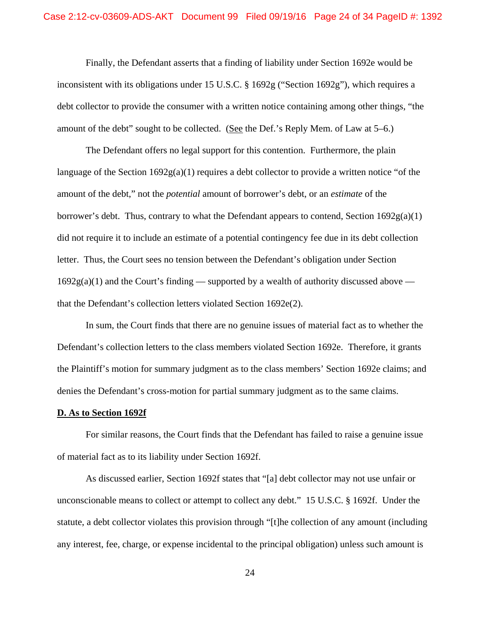Finally, the Defendant asserts that a finding of liability under Section 1692e would be inconsistent with its obligations under 15 U.S.C. § 1692g ("Section 1692g"), which requires a debt collector to provide the consumer with a written notice containing among other things, "the amount of the debt" sought to be collected. (See the Def.'s Reply Mem. of Law at 5–6.)

The Defendant offers no legal support for this contention. Furthermore, the plain language of the Section  $1692g(a)(1)$  requires a debt collector to provide a written notice "of the amount of the debt," not the *potential* amount of borrower's debt, or an *estimate* of the borrower's debt. Thus, contrary to what the Defendant appears to contend, Section  $1692g(a)(1)$ did not require it to include an estimate of a potential contingency fee due in its debt collection letter. Thus, the Court sees no tension between the Defendant's obligation under Section  $1692g(a)(1)$  and the Court's finding — supported by a wealth of authority discussed above that the Defendant's collection letters violated Section 1692e(2).

In sum, the Court finds that there are no genuine issues of material fact as to whether the Defendant's collection letters to the class members violated Section 1692e. Therefore, it grants the Plaintiff's motion for summary judgment as to the class members' Section 1692e claims; and denies the Defendant's cross-motion for partial summary judgment as to the same claims.

#### **D. As to Section 1692f**

 For similar reasons, the Court finds that the Defendant has failed to raise a genuine issue of material fact as to its liability under Section 1692f.

As discussed earlier, Section 1692f states that "[a] debt collector may not use unfair or unconscionable means to collect or attempt to collect any debt." 15 U.S.C. § 1692f. Under the statute, a debt collector violates this provision through "[t]he collection of any amount (including any interest, fee, charge, or expense incidental to the principal obligation) unless such amount is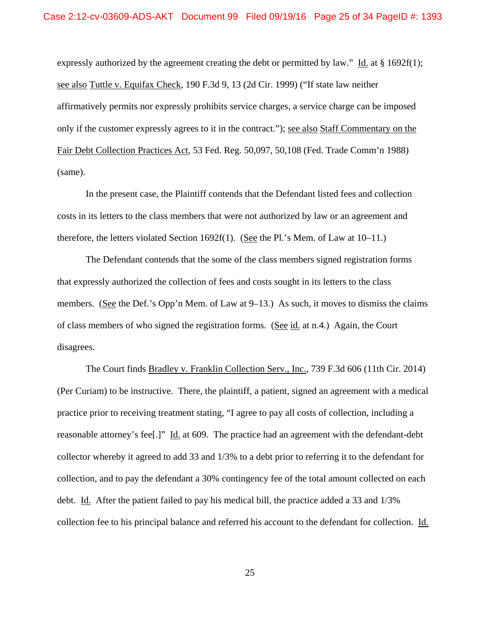expressly authorized by the agreement creating the debt or permitted by law." Id. at  $\S$  1692f(1); see also Tuttle v. Equifax Check, 190 F.3d 9, 13 (2d Cir. 1999) ("If state law neither affirmatively permits nor expressly prohibits service charges, a service charge can be imposed only if the customer expressly agrees to it in the contract."); see also Staff Commentary on the Fair Debt Collection Practices Act, 53 Fed. Reg. 50,097, 50,108 (Fed. Trade Comm'n 1988) (same).

 In the present case, the Plaintiff contends that the Defendant listed fees and collection costs in its letters to the class members that were not authorized by law or an agreement and therefore, the letters violated Section 1692f(1). (See the Pl.'s Mem. of Law at  $10-11$ .)

 The Defendant contends that the some of the class members signed registration forms that expressly authorized the collection of fees and costs sought in its letters to the class members. (See the Def.'s Opp'n Mem. of Law at 9–13.) As such, it moves to dismiss the claims of class members of who signed the registration forms. (See id. at n.4.) Again, the Court disagrees.

 The Court finds Bradley v. Franklin Collection Serv., Inc., 739 F.3d 606 (11th Cir. 2014) (Per Curiam) to be instructive. There, the plaintiff, a patient, signed an agreement with a medical practice prior to receiving treatment stating, "I agree to pay all costs of collection, including a reasonable attorney's fee[.]" Id. at 609. The practice had an agreement with the defendant-debt collector whereby it agreed to add 33 and 1/3% to a debt prior to referring it to the defendant for collection, and to pay the defendant a 30% contingency fee of the total amount collected on each debt. Id. After the patient failed to pay his medical bill, the practice added a 33 and 1/3% collection fee to his principal balance and referred his account to the defendant for collection. Id.

25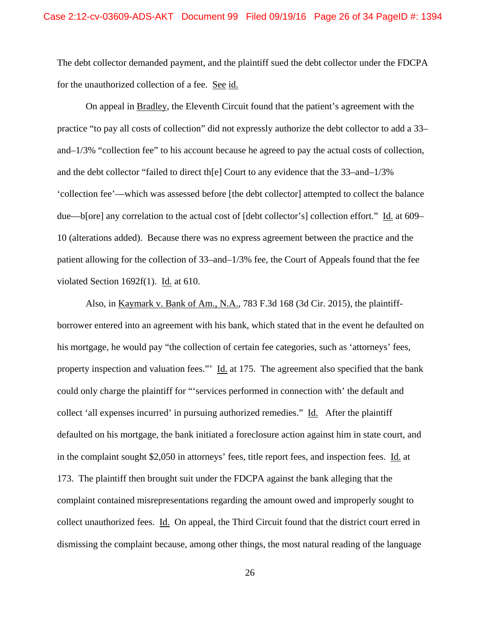The debt collector demanded payment, and the plaintiff sued the debt collector under the FDCPA for the unauthorized collection of a fee. See id.

On appeal in Bradley, the Eleventh Circuit found that the patient's agreement with the practice "to pay all costs of collection" did not expressly authorize the debt collector to add a 33– and–1/3% "collection fee" to his account because he agreed to pay the actual costs of collection, and the debt collector "failed to direct th[e] Court to any evidence that the  $33$ –and– $1/3\%$ 'collection fee'—which was assessed before [the debt collector] attempted to collect the balance due—b[ore] any correlation to the actual cost of [debt collector's] collection effort." Id. at 609– 10 (alterations added). Because there was no express agreement between the practice and the patient allowing for the collection of 33–and–1/3% fee, the Court of Appeals found that the fee violated Section 1692f(1). Id. at 610.

Also, in Kaymark v. Bank of Am., N.A., 783 F.3d 168 (3d Cir. 2015), the plaintiffborrower entered into an agreement with his bank, which stated that in the event he defaulted on his mortgage, he would pay "the collection of certain fee categories, such as 'attorneys' fees, property inspection and valuation fees."  $\underline{Id}$  at 175. The agreement also specified that the bank could only charge the plaintiff for "'services performed in connection with' the default and collect 'all expenses incurred' in pursuing authorized remedies." Id. After the plaintiff defaulted on his mortgage, the bank initiated a foreclosure action against him in state court, and in the complaint sought \$2,050 in attorneys' fees, title report fees, and inspection fees. Id. at 173. The plaintiff then brought suit under the FDCPA against the bank alleging that the complaint contained misrepresentations regarding the amount owed and improperly sought to collect unauthorized fees. Id. On appeal, the Third Circuit found that the district court erred in dismissing the complaint because, among other things, the most natural reading of the language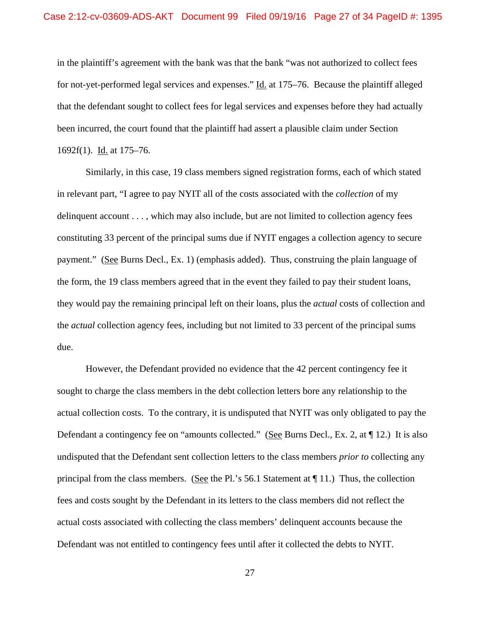in the plaintiff's agreement with the bank was that the bank "was not authorized to collect fees for not-yet-performed legal services and expenses." Id. at 175–76. Because the plaintiff alleged that the defendant sought to collect fees for legal services and expenses before they had actually been incurred, the court found that the plaintiff had assert a plausible claim under Section 1692f(1). Id. at 175–76.

Similarly, in this case, 19 class members signed registration forms, each of which stated in relevant part, "I agree to pay NYIT all of the costs associated with the *collection* of my delinquent account . . . , which may also include, but are not limited to collection agency fees constituting 33 percent of the principal sums due if NYIT engages a collection agency to secure payment." (See Burns Decl., Ex. 1) (emphasis added). Thus, construing the plain language of the form, the 19 class members agreed that in the event they failed to pay their student loans, they would pay the remaining principal left on their loans, plus the *actual* costs of collection and the *actual* collection agency fees, including but not limited to 33 percent of the principal sums due.

However, the Defendant provided no evidence that the 42 percent contingency fee it sought to charge the class members in the debt collection letters bore any relationship to the actual collection costs. To the contrary, it is undisputed that NYIT was only obligated to pay the Defendant a contingency fee on "amounts collected." (See Burns Decl., Ex. 2, at  $\P$  12.) It is also undisputed that the Defendant sent collection letters to the class members *prior to* collecting any principal from the class members. (See the Pl.'s 56.1 Statement at  $\P$  11.) Thus, the collection fees and costs sought by the Defendant in its letters to the class members did not reflect the actual costs associated with collecting the class members' delinquent accounts because the Defendant was not entitled to contingency fees until after it collected the debts to NYIT.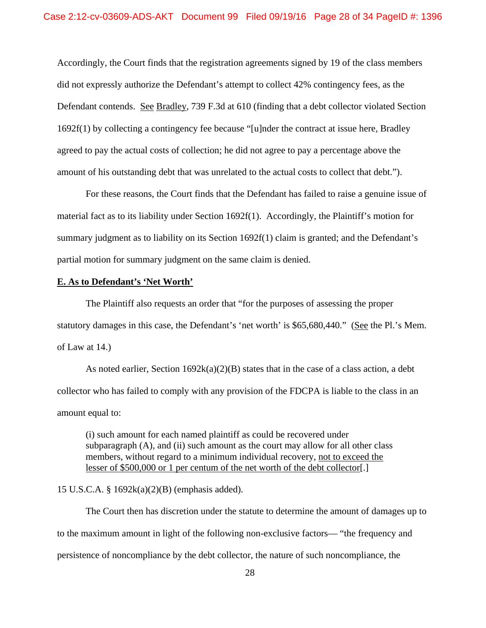Accordingly, the Court finds that the registration agreements signed by 19 of the class members did not expressly authorize the Defendant's attempt to collect 42% contingency fees, as the Defendant contends. See Bradley, 739 F.3d at 610 (finding that a debt collector violated Section 1692f(1) by collecting a contingency fee because "[u]nder the contract at issue here, Bradley agreed to pay the actual costs of collection; he did not agree to pay a percentage above the amount of his outstanding debt that was unrelated to the actual costs to collect that debt.").

For these reasons, the Court finds that the Defendant has failed to raise a genuine issue of material fact as to its liability under Section 1692f(1). Accordingly, the Plaintiff's motion for summary judgment as to liability on its Section 1692f(1) claim is granted; and the Defendant's partial motion for summary judgment on the same claim is denied.

### **E. As to Defendant's 'Net Worth'**

 The Plaintiff also requests an order that "for the purposes of assessing the proper statutory damages in this case, the Defendant's 'net worth' is \$65,680,440." (See the Pl.'s Mem. of Law at 14.)

As noted earlier, Section  $1692k(a)(2)(B)$  states that in the case of a class action, a debt collector who has failed to comply with any provision of the FDCPA is liable to the class in an amount equal to:

(i) such amount for each named plaintiff as could be recovered under subparagraph  $(A)$ , and  $(ii)$  such amount as the court may allow for all other class members, without regard to a minimum individual recovery, not to exceed the lesser of \$500,000 or 1 per centum of the net worth of the debt collector[.]

## 15 U.S.C.A. § 1692k(a)(2)(B) (emphasis added).

The Court then has discretion under the statute to determine the amount of damages up to to the maximum amount in light of the following non-exclusive factors— "the frequency and persistence of noncompliance by the debt collector, the nature of such noncompliance, the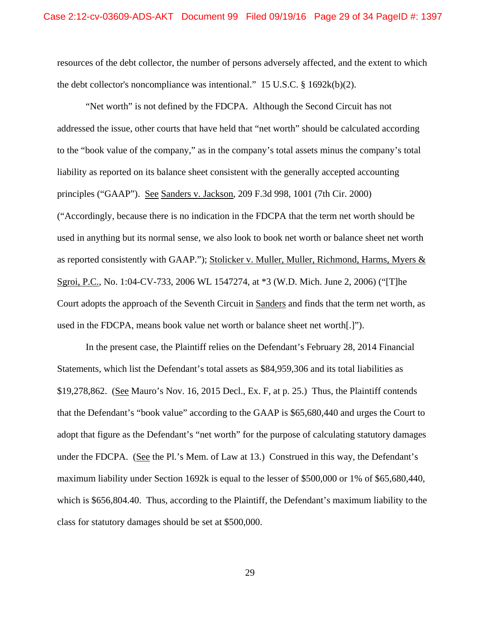resources of the debt collector, the number of persons adversely affected, and the extent to which the debt collector's noncompliance was intentional." 15 U.S.C. § 1692k(b)(2).

 "Net worth" is not defined by the FDCPA. Although the Second Circuit has not addressed the issue, other courts that have held that "net worth" should be calculated according to the "book value of the company," as in the company's total assets minus the company's total liability as reported on its balance sheet consistent with the generally accepted accounting principles ("GAAP"). See Sanders v. Jackson, 209 F.3d 998, 1001 (7th Cir. 2000) ("Accordingly, because there is no indication in the FDCPA that the term net worth should be used in anything but its normal sense, we also look to book net worth or balance sheet net worth as reported consistently with GAAP."); Stolicker v. Muller, Muller, Richmond, Harms, Myers & Sgroi, P.C., No. 1:04-CV-733, 2006 WL 1547274, at \*3 (W.D. Mich. June 2, 2006) ("[T]he Court adopts the approach of the Seventh Circuit in Sanders and finds that the term net worth, as used in the FDCPA, means book value net worth or balance sheet net worth[.]").

 In the present case, the Plaintiff relies on the Defendant's February 28, 2014 Financial Statements, which list the Defendant's total assets as \$84,959,306 and its total liabilities as \$19,278,862. (See Mauro's Nov. 16, 2015 Decl., Ex. F, at p. 25.) Thus, the Plaintiff contends that the Defendant's "book value" according to the GAAP is \$65,680,440 and urges the Court to adopt that figure as the Defendant's "net worth" for the purpose of calculating statutory damages under the FDCPA. (See the Pl.'s Mem. of Law at 13.) Construed in this way, the Defendant's maximum liability under Section 1692k is equal to the lesser of \$500,000 or 1% of \$65,680,440, which is \$656,804.40. Thus, according to the Plaintiff, the Defendant's maximum liability to the class for statutory damages should be set at \$500,000.

29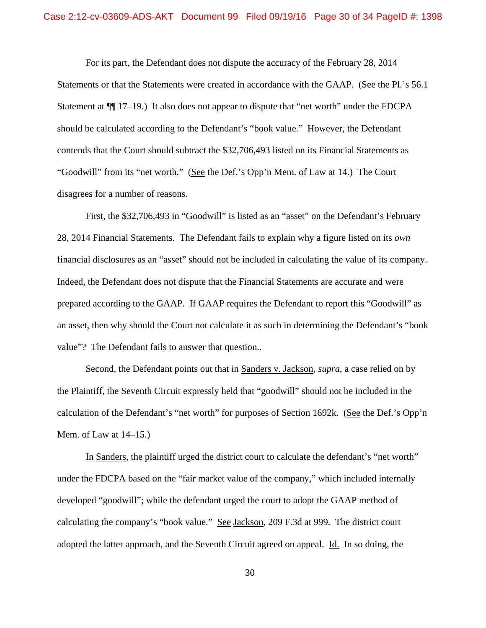For its part, the Defendant does not dispute the accuracy of the February 28, 2014 Statements or that the Statements were created in accordance with the GAAP. (See the Pl.'s 56.1 Statement at  $\P$ [[17–19.) It also does not appear to dispute that "net worth" under the FDCPA should be calculated according to the Defendant's "book value." However, the Defendant contends that the Court should subtract the \$32,706,493 listed on its Financial Statements as "Goodwill" from its "net worth." (See the Def.'s Opp'n Mem. of Law at 14.) The Court disagrees for a number of reasons.

 First, the \$32,706,493 in "Goodwill" is listed as an "asset" on the Defendant's February 28, 2014 Financial Statements. The Defendant fails to explain why a figure listed on its *own*  financial disclosures as an "asset" should not be included in calculating the value of its company. Indeed, the Defendant does not dispute that the Financial Statements are accurate and were prepared according to the GAAP. If GAAP requires the Defendant to report this "Goodwill" as an asset, then why should the Court not calculate it as such in determining the Defendant's "book value"? The Defendant fails to answer that question..

 Second, the Defendant points out that in Sanders v. Jackson, *supra*, a case relied on by the Plaintiff, the Seventh Circuit expressly held that "goodwill" should not be included in the calculation of the Defendant's "net worth" for purposes of Section 1692k. (See the Def.'s Opp'n Mem. of Law at 14–15.)

 In Sanders, the plaintiff urged the district court to calculate the defendant's "net worth" under the FDCPA based on the "fair market value of the company," which included internally developed "goodwill"; while the defendant urged the court to adopt the GAAP method of calculating the company's "book value." See Jackson, 209 F.3d at 999. The district court adopted the latter approach, and the Seventh Circuit agreed on appeal. Id. In so doing, the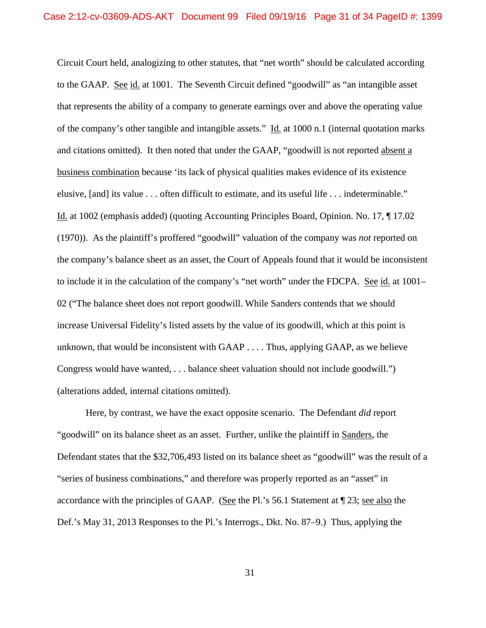Circuit Court held, analogizing to other statutes, that "net worth" should be calculated according to the GAAP. See id. at 1001. The Seventh Circuit defined "goodwill" as "an intangible asset that represents the ability of a company to generate earnings over and above the operating value of the company's other tangible and intangible assets." Id. at 1000 n.1 (internal quotation marks and citations omitted). It then noted that under the GAAP, "goodwill is not reported absent a business combination because 'its lack of physical qualities makes evidence of its existence elusive, [and] its value . . . often difficult to estimate, and its useful life . . . indeterminable." Id. at 1002 (emphasis added) (quoting Accounting Principles Board, Opinion. No. 17, ¶ 17.02 (1970)). As the plaintiff's proffered "goodwill" valuation of the company was *not* reported on the company's balance sheet as an asset, the Court of Appeals found that it would be inconsistent to include it in the calculation of the company's "net worth" under the FDCPA. See id. at 1001– 02 ("The balance sheet does not report goodwill. While Sanders contends that we should increase Universal Fidelity's listed assets by the value of its goodwill, which at this point is unknown, that would be inconsistent with GAAP . . . . Thus, applying GAAP, as we believe Congress would have wanted, . . . balance sheet valuation should not include goodwill.") (alterations added, internal citations omitted).

 Here, by contrast, we have the exact opposite scenario. The Defendant *did* report "goodwill" on its balance sheet as an asset. Further, unlike the plaintiff in Sanders, the Defendant states that the \$32,706,493 listed on its balance sheet as "goodwill" was the result of a "series of business combinations," and therefore was properly reported as an "asset" in accordance with the principles of GAAP. (See the Pl.'s 56.1 Statement at ¶ 23; see also the Def.'s May 31, 2013 Responses to the Pl.'s Interrogs., Dkt. No. 87–9.) Thus, applying the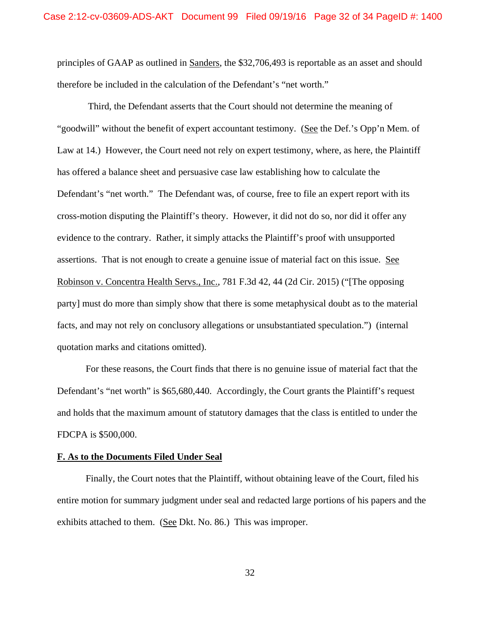principles of GAAP as outlined in Sanders, the \$32,706,493 is reportable as an asset and should therefore be included in the calculation of the Defendant's "net worth."

 Third, the Defendant asserts that the Court should not determine the meaning of "goodwill" without the benefit of expert accountant testimony. (See the Def.'s Opp'n Mem. of Law at 14.) However, the Court need not rely on expert testimony, where, as here, the Plaintiff has offered a balance sheet and persuasive case law establishing how to calculate the Defendant's "net worth." The Defendant was, of course, free to file an expert report with its cross-motion disputing the Plaintiff's theory. However, it did not do so, nor did it offer any evidence to the contrary. Rather, it simply attacks the Plaintiff's proof with unsupported assertions. That is not enough to create a genuine issue of material fact on this issue. See Robinson v. Concentra Health Servs., Inc., 781 F.3d 42, 44 (2d Cir. 2015) ("[The opposing party] must do more than simply show that there is some metaphysical doubt as to the material facts, and may not rely on conclusory allegations or unsubstantiated speculation.") (internal quotation marks and citations omitted).

 For these reasons, the Court finds that there is no genuine issue of material fact that the Defendant's "net worth" is \$65,680,440. Accordingly, the Court grants the Plaintiff's request and holds that the maximum amount of statutory damages that the class is entitled to under the FDCPA is \$500,000.

## **F. As to the Documents Filed Under Seal**

 Finally, the Court notes that the Plaintiff, without obtaining leave of the Court, filed his entire motion for summary judgment under seal and redacted large portions of his papers and the exhibits attached to them. (See Dkt. No. 86.) This was improper.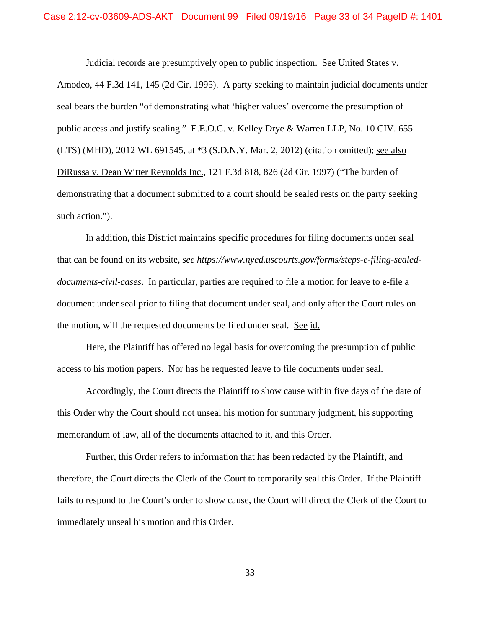Judicial records are presumptively open to public inspection. See United States v.

Amodeo, 44 F.3d 141, 145 (2d Cir. 1995). A party seeking to maintain judicial documents under seal bears the burden "of demonstrating what 'higher values' overcome the presumption of public access and justify sealing." E.E.O.C. v. Kelley Drye & Warren LLP, No. 10 CIV. 655 (LTS) (MHD), 2012 WL 691545, at \*3 (S.D.N.Y. Mar. 2, 2012) (citation omitted); see also DiRussa v. Dean Witter Reynolds Inc., 121 F.3d 818, 826 (2d Cir. 1997) ("The burden of demonstrating that a document submitted to a court should be sealed rests on the party seeking such action.").

 In addition, this District maintains specific procedures for filing documents under seal that can be found on its website, *see https://www.nyed.uscourts.gov/forms/steps-e-filing-sealeddocuments-civil-cases*. In particular, parties are required to file a motion for leave to e-file a document under seal prior to filing that document under seal, and only after the Court rules on the motion, will the requested documents be filed under seal. See id.

 Here, the Plaintiff has offered no legal basis for overcoming the presumption of public access to his motion papers. Nor has he requested leave to file documents under seal.

 Accordingly, the Court directs the Plaintiff to show cause within five days of the date of this Order why the Court should not unseal his motion for summary judgment, his supporting memorandum of law, all of the documents attached to it, and this Order.

Further, this Order refers to information that has been redacted by the Plaintiff, and therefore, the Court directs the Clerk of the Court to temporarily seal this Order. If the Plaintiff fails to respond to the Court's order to show cause, the Court will direct the Clerk of the Court to immediately unseal his motion and this Order.